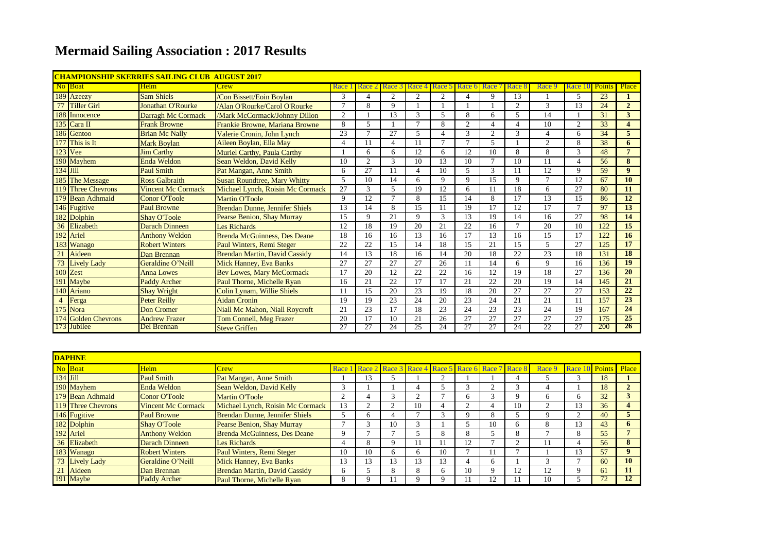## **Mermaid Sailing Association : 2017 Results**

|            | <u>CHAMPIONSHIP SKERRIES SAILING CLUB-AUGUST 2017</u> |                           |                                     |               |                |                          |                      |                          |               |                |                          |                          |         |               |                |
|------------|-------------------------------------------------------|---------------------------|-------------------------------------|---------------|----------------|--------------------------|----------------------|--------------------------|---------------|----------------|--------------------------|--------------------------|---------|---------------|----------------|
|            | No Boat                                               | Helm                      | Crew                                | Race          | Race 2         | Race 3                   | Race 4 Race 5 Race 6 |                          |               | Race           | Race                     | Race 9                   | Race 10 | <b>Points</b> | Place          |
|            | 189 Azeezy                                            | <b>Sam Shiels</b>         | /Con Bissett/Eoin Boylan            | 3             | 4              | $\overline{2}$           | 2                    | 2                        | $\Delta$      | $\mathbf Q$    | 13                       |                          | 5.      | 23            |                |
| 77         | <b>Tiller Girl</b>                                    | <b>Jonathan O'Rourke</b>  | /Alan O'Rourke/Carol O'Rourke       |               | 8              | 9                        |                      |                          |               |                | 2                        | $\mathcal{R}$            | 13      | 24            | $\overline{2}$ |
|            | 188 Innocence                                         | Darragh Mc Cormack        | /Mark McCormack/Johnny Dillon       | $\mathcal{L}$ |                | 13                       | 3                    | $\overline{\phantom{0}}$ | 8             | 6              | $\overline{\phantom{0}}$ | 14                       |         | 31            | 3              |
|            | 135 Cara II                                           | <b>Frank Browne</b>       | Frankie Browne, Mariana Browne      | 8             | 5              |                          |                      | 8                        | $\sim$        |                |                          | 10                       | ◠       | 33            | $\overline{4}$ |
|            | 186 Gentoo                                            | <b>Brian Mc Nally</b>     | Valerie Cronin, John Lynch          | 23            | $\mathcal{L}$  | 27                       | 5                    | 4                        | $\mathcal{R}$ | 2              | 3                        | 4                        | 6       | 34            | 5              |
|            | 177 This is It                                        | <b>Mark Boylan</b>        | Aileen Boylan, Ella May             | Δ             | 11             | $\boldsymbol{\varDelta}$ | 11                   | $\mathcal{I}$            | $\mathcal{L}$ | $\overline{5}$ |                          | $\mathcal{D}$            | 8       | 38            | 6              |
|            | $123$ Vee                                             | <b>Jim Carthy</b>         | Muriel Carthy, Paula Carthy         |               | 6              | 6                        | 12                   | 6                        | 12            | 10             | 8                        | 8                        | 3       | 48            | $\overline{7}$ |
|            | 190 Mayhem                                            | <b>Enda Weldon</b>        | Sean Weldon, David Kelly            | 10            | $\overline{2}$ | 3                        | 10                   | 13                       | 10            |                | 10                       |                          |         | 56            | 8              |
| $134$ Jill |                                                       | <b>Paul Smith</b>         | Pat Mangan, Anne Smith              | 6             | 27             | 11                       | $\overline{4}$       | 10                       | 5             | 3              | 11                       | 12                       | 9       | 59            | 9 <sup>°</sup> |
|            | 185 The Message                                       | <b>Ross Galbraith</b>     | <b>Susan Roundtree, Mary Whitty</b> | 5             | 10             | 14                       | 6                    | 9                        | $\mathbf Q$   | 15             | 9                        |                          | 12      | 67            | <b>10</b>      |
|            | 119 Three Chevrons                                    | <b>Vincent Mc Cormack</b> | Michael Lynch, Roisin Mc Cormack    | 27            | 3              | 5                        | 19                   | 12                       | 6             |                | 18                       | 6                        | 27      | 80            | 11             |
|            | 179 Bean Adhmaid                                      | <b>Conor O'Toole</b>      | <b>Martin O'Toole</b>               | $\Omega$      | 12             | $\mathcal{L}$            | 8                    | 15                       | 14            | 8              | 17                       | 13                       | 15      | 86            | 12             |
|            | 146 Fugitive                                          | <b>Paul Browne</b>        | Brendan Dunne, Jennifer Shiels      | 13            | 14             | 8                        | 15                   | 11                       | 19            | 17             | 12                       | 17                       | ⇁       | 97            | 13             |
|            | 182 Dolphin                                           | <b>Shay O'Toole</b>       | Pearse Benion, Shay Murray          | 15            | 9              | 21                       | $\mathbf Q$          | 3                        | 13            | 19             | 14                       | 16                       | 27      | 98            | 14             |
|            | 36 Elizabeth                                          | <b>Darach Dinneen</b>     | Les Richards                        | 12            | 18             | 19                       | 20                   | 21                       | 22            | 16             | $\mathcal{L}$            | 20                       | 10      | 122           | 15             |
|            | 192 Ariel                                             | <b>Anthony Weldon</b>     | <b>Brenda McGuinness, Des Deane</b> | 18            | 16             | 16                       | 13                   | 16                       | 17            | 13             | 16                       | 15                       | 17      | 122           | 16             |
|            | 183 Wanago                                            | <b>Robert Winters</b>     | Paul Winters, Remi Steger           | 22            | 22             | 15                       | 14                   | 18                       | 15            | 21             | 15                       | $\overline{\phantom{0}}$ | 27      | 125           | 17             |
| 21         | Aideen                                                | Dan Brennan               | Brendan Martin, David Cassidy       | 14            | 13             | 18                       | 16                   | 14                       | 20            | 18             | 22                       | 23                       | 18      | 131           | 18             |
|            | <b>Lively Lady</b>                                    | Geraldine O'Neill         | <b>Mick Hanney, Eva Banks</b>       | 27            | 27             | 27                       | 27                   | 26                       | 11            | 14             | 6                        | $\mathbf Q$              | 16      | 136           | 19             |
|            | 100 Zest                                              | <b>Anna Lowes</b>         | <b>Bev Lowes, Mary McCormack</b>    | 17            | 20             | 12                       | 22                   | 22                       | 16            | 12             | 19                       | 18                       | 27      | 136           | 20             |
|            | 191 Maybe                                             | <b>Paddy Archer</b>       | Paul Thorne, Michelle Ryan          | 16            | 21             | 22                       | 17                   | 17                       | 21            | 22             | 20                       | 19                       | 14      | 145           | 21             |
|            | 140 Ariano                                            | <b>Shay Wright</b>        | Colin Lynam, Willie Shiels          |               | 15             | 20                       | 23                   | 19                       | 18            | 20             | 27                       | 27                       | 27      | 153           | 22             |
|            | Ferga                                                 | <b>Peter Reilly</b>       | <b>Aidan Cronin</b>                 | 19            | 19             | 23                       | 24                   | 20                       | 23            | 24             | 21                       | 21                       | 11      | 157           | 23             |
|            | 175 Nora                                              | Don Cromer                | Niall Mc Mahon, Niall Roycroft      | 21            | 23             | 17                       | 18                   | 23                       | 24            | 23             | 23                       | 24                       | 19      | 167           | 24             |
|            | 174 Golden Chevrons                                   | <b>Andrew Frazer</b>      | <b>Tom Connell, Meg Frazer</b>      | 20            | 17             | 10                       | 21                   | 26                       | 27            | 27             | 27                       | 27                       | 27      | 175           | 25             |
|            | 173 Jubilee                                           | <b>Del Brennan</b>        | <b>Steve Griffen</b>                | 27            | 27             | 24                       | 25                   | 24                       | 27            | 27             | 24                       | 22                       | 27      | 200           | 26             |

|    | <b>DAPHNE</b>             |                           |                                       |          |    |              |              |                                                         |    |    |    |              |                |    |       |
|----|---------------------------|---------------------------|---------------------------------------|----------|----|--------------|--------------|---------------------------------------------------------|----|----|----|--------------|----------------|----|-------|
|    | No Boat                   | <b>Helm</b>               | <b>Crew</b>                           |          |    |              |              | Race 1 Race 2 Race 3 Race 4 Race 5 Race 6 Race 7 Race 8 |    |    |    | Race 9       | Race 10 Points |    | Place |
|    | $134$ Jill                | Paul Smith                | Pat Mangan, Anne Smith                |          | 13 |              |              |                                                         |    |    |    |              |                | 18 |       |
|    | 190 Mayhem                | <b>Enda Weldon</b>        | Sean Weldon, David Kelly              |          |    |              |              |                                                         |    |    |    |              |                | 18 |       |
|    | 179 Bean Adhmaid          | Conor O'Toole             | <b>Martin O'Toole</b>                 |          |    |              |              |                                                         | h  |    |    | <sub>n</sub> | 6.             | 32 |       |
|    | <b>119 Three Chevrons</b> | <b>Vincent Mc Cormack</b> | Michael Lynch, Roisin Mc Cormack      | $\Delta$ |    |              | 10           |                                                         |    |    | 10 |              | 13             | 36 |       |
|    | 146 Fugitive              | <b>Paul Browne</b>        | <b>Brendan Dunne, Jennifer Shiels</b> |          |    |              |              |                                                         | Q  |    |    |              |                | 40 |       |
|    | 182 Dolphin               | <b>Shay O'Toole</b>       | Pearse Benion, Shay Murray            |          |    | 10           |              |                                                         |    | 10 | n. | 8            | 13             | 43 |       |
|    | 192 Ariel                 | <b>Anthony Weldon</b>     | <b>Brenda McGuinness, Des Deane</b>   |          |    |              |              | ົ                                                       | 8  |    | Δ. |              | 8.             | 55 |       |
|    | 36 Elizabeth              | Darach Dinneen            | <b>Les Richards</b>                   | 4        | Δ. | Q            |              |                                                         |    |    |    |              |                | 56 |       |
|    | 183 Wanago                | <b>Robert Winters</b>     | <b>Paul Winters, Remi Steger</b>      | 10       | 10 | <sub>6</sub> | <sub>0</sub> | 10                                                      |    |    |    |              | 13             | 57 |       |
|    | 73 Lively Lady            | Geraldine O'Neill         | <b>Mick Hanney, Eva Banks</b>         | 3        | 13 | 13           | 13           | 13                                                      |    |    |    |              |                | 60 | 10    |
| 21 | Aideen                    | Dan Brennan               | Brendan Martin, David Cassidy         |          |    | 8            | 8            |                                                         | 10 |    |    |              |                | 61 | 11    |
|    | 191 Maybe                 | Paddy Archer              | Paul Thorne, Michelle Ryan            |          |    |              |              |                                                         |    |    |    | 10           |                | 72 | 12    |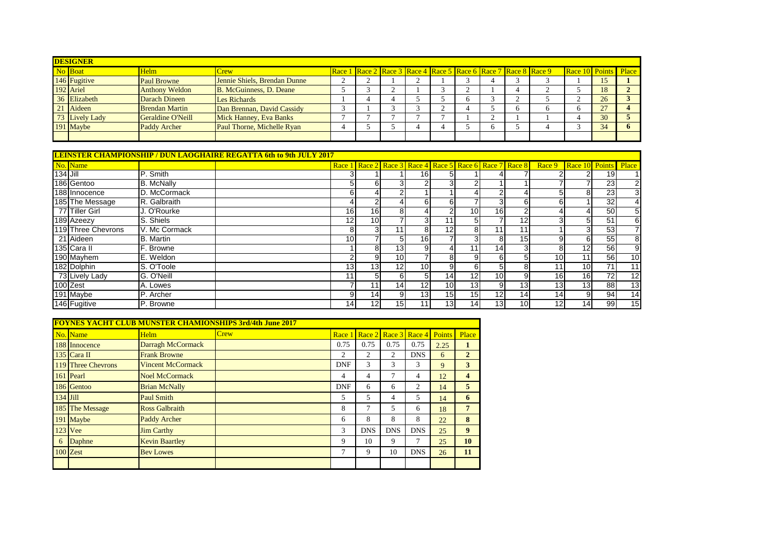| <b>DESIGNER</b> |                       |                              |  |                                                                |  |  |  |  |  |  |  |                             |    |  |
|-----------------|-----------------------|------------------------------|--|----------------------------------------------------------------|--|--|--|--|--|--|--|-----------------------------|----|--|
| No Boat         | Helm                  | <b>Crew</b>                  |  | Race 1 Race 2 Race 3 Race 4 Race 5 Race 6 Race 7 Race 8 Race 9 |  |  |  |  |  |  |  | <b>Race 10 Points Place</b> |    |  |
| 146 Fugitive    | <b>Paul Browne</b>    | Jennie Shiels, Brendan Dunne |  |                                                                |  |  |  |  |  |  |  |                             | 15 |  |
| 192 Ariel       | <b>Anthony Weldon</b> | B. McGuinness, D. Deane      |  |                                                                |  |  |  |  |  |  |  |                             | 18 |  |
| 36 Elizabeth    | Darach Dineen         | Les Richards                 |  |                                                                |  |  |  |  |  |  |  |                             | 26 |  |
| 21 Aideen       | <b>Brendan Martin</b> | Dan Brennan, David Cassidy   |  |                                                                |  |  |  |  |  |  |  |                             |    |  |
| 73 Lively Lady  | Geraldine O'Neill     | Mick Hanney, Eva Banks       |  |                                                                |  |  |  |  |  |  |  |                             | 30 |  |
| 191 Maybe       | <b>Paddy Archer</b>   | Paul Thorne, Michelle Ryan   |  |                                                                |  |  |  |  |  |  |  |                             | 34 |  |
|                 |                       |                              |  |                                                                |  |  |  |  |  |  |  |                             |    |  |

|                 |                    |                   | <u>LEINSTER CHAMPIONSHIP / DUN LAOGHAIRE REGATTA 6th to 9th JULY 2017</u> |                 |     |                 |                 |                 |                 |                 |                                                         |                             |                 |    |                 |
|-----------------|--------------------|-------------------|---------------------------------------------------------------------------|-----------------|-----|-----------------|-----------------|-----------------|-----------------|-----------------|---------------------------------------------------------|-----------------------------|-----------------|----|-----------------|
|                 | No. Name           |                   |                                                                           |                 |     |                 |                 |                 |                 |                 | Race 1 Race 2 Race 3 Race 4 Race 5 Race 6 Race 7 Race 8 | Race 9 Race 10 Points Place |                 |    |                 |
| <b>134 Jill</b> |                    | P. Smith          |                                                                           |                 |     |                 | 16              | 51              |                 |                 |                                                         |                             | 21              | 19 |                 |
|                 | 186 Gentoo         | <b>B.</b> McNally |                                                                           | 51              | 61  | 31              |                 | 31              |                 |                 |                                                         |                             |                 | 23 | $\overline{2}$  |
|                 | 188 Innocence      | D. McCormack      |                                                                           | 61              |     | $\mathcal{P}$   |                 |                 |                 |                 |                                                         | 5                           | 81              | 23 |                 |
|                 | 185 The Message    | R. Galbraith      |                                                                           |                 |     |                 | 61              | 6               |                 |                 | 6                                                       | 6                           |                 | 32 |                 |
|                 | 77 Tiller Girl     | J. O'Rourke       |                                                                           | 16 <sup>l</sup> | 16  | 81              |                 | 2               | 10 <sup>1</sup> | 16              | 2                                                       |                             | 4               | 50 |                 |
|                 | 189 Azeezy         | S. Shiels         |                                                                           | 12              | 10  |                 | 31              | 11              | 51              |                 | 12 <sub>1</sub>                                         |                             | 51              | 51 | 6               |
|                 | 119 Three Chevrons | V. Mc Cormack     |                                                                           | 81              | 31  | 11 <sub>1</sub> | 81              | 12              | 81              |                 | 11 <sub>1</sub>                                         |                             | зı              | 53 |                 |
|                 | 21 Aideen          | <b>B.</b> Martin  |                                                                           | 10 <sup>1</sup> |     | 51              | 16              |                 |                 | 81              | 15 <sub>l</sub>                                         | 9                           | 61              | 55 | 8               |
|                 | 135 Cara II        | F. Browne         |                                                                           |                 | 81  | 13              |                 | 41              | 11              | 14 <sub>l</sub> | 3                                                       | 8                           | 12 <sub>l</sub> | 56 | 9               |
|                 | 190 Mayhem         | E. Weldon         |                                                                           |                 | 9   | 10 <sup>1</sup> |                 | 81              | 91              | 61              | 51                                                      | 10 <sup>1</sup>             | 11              | 56 | 10              |
|                 | 182 Dolphin        | S. O'Toole        |                                                                           | 13              | 13  | 12              | 10 <sup>1</sup> | 9               | 61              |                 | 8                                                       | 11                          | 10 <sup>1</sup> | 71 | 11              |
|                 | 73 Lively Lady     | G. O'Neill        |                                                                           |                 | 5   | 61              |                 | 14              | 12 <sub>1</sub> | 10 <sup>1</sup> | 9                                                       | 16 <sup>1</sup>             | 16              | 72 | 12              |
|                 | 100 Zest           | A. Lowes          |                                                                           |                 | 11  | 14              | 12              | 10 <sup>1</sup> | 13 <sub>l</sub> | 9               | 13                                                      | 13 <sub>l</sub>             | 13              | 88 | 13 <sub>l</sub> |
|                 | 191 Maybe          | P. Archer         |                                                                           |                 | 14  | 9               | 13              | 15              | 15              | 12              | 14                                                      | 14                          | 91              | 94 | 14              |
|                 | 146 Fugitive       | P. Browne         |                                                                           | 14 <sup>1</sup> | 121 | 15I             |                 | 13              | 14 <sub>l</sub> | 13 <sup>l</sup> | 10 <sup>1</sup>                                         | 12                          | 14              | 99 | 15 <sub>l</sub> |

|   | <b>FOYNES YACHT CLUB MUNSTER CHAMIONSHIPS 3rd/4th June 2017</b> |                          |      |            |                             |                |            |               |                |  |  |  |
|---|-----------------------------------------------------------------|--------------------------|------|------------|-----------------------------|----------------|------------|---------------|----------------|--|--|--|
|   | No. Name                                                        | Helm                     | Crew |            | Race 1 Race 2 Race 3 Race 4 |                |            | <b>Points</b> | Place          |  |  |  |
|   | 188 Innocence                                                   | Darragh McCormack        |      | 0.75       | 0.75                        | 0.75           | 0.75       | 2.25          |                |  |  |  |
|   | 135 Cara II                                                     | <b>Frank Browne</b>      |      | 2          | 2                           | 2              | <b>DNS</b> | 6             | $\overline{2}$ |  |  |  |
|   | 119 Three Chevrons                                              | <b>Vincent McCormack</b> |      | <b>DNF</b> | 3                           | 3              | 3          | 9             | 3              |  |  |  |
|   | 161 Pearl                                                       | <b>Noel McCormack</b>    |      | 4          | 4                           | $\overline{7}$ | 4          | 12            | 4              |  |  |  |
|   | 186 Gentoo                                                      | <b>Brian McNally</b>     |      | <b>DNF</b> | 6                           | 6              | 2          | 14            | 5              |  |  |  |
|   | $134$ Jill                                                      | <b>Paul Smith</b>        |      | 5          | 5                           | 4              | 5          | 14            | 6              |  |  |  |
|   | 185 The Message                                                 | <b>Ross Galbraith</b>    |      | 8          | 7                           | 5              | 6          | 18            | 7              |  |  |  |
|   | 191 Maybe                                                       | <b>Paddy Archer</b>      |      | 6          | 8                           | 8              | 8          | 22            | 8              |  |  |  |
|   | $123$ Vee                                                       | <b>Jim Carthy</b>        |      | 3          | <b>DNS</b>                  | <b>DNS</b>     | <b>DNS</b> | 25            | 9              |  |  |  |
| 6 | <b>Daphne</b>                                                   | <b>Kevin Baartley</b>    |      | 9          | 10                          | 9              | 7          | 25            | 10             |  |  |  |
|   | 100 Zest                                                        | <b>Bev Lowes</b>         |      | 7          | 9                           | 10             | <b>DNS</b> | 26            | 11             |  |  |  |
|   |                                                                 |                          |      |            |                             |                |            |               |                |  |  |  |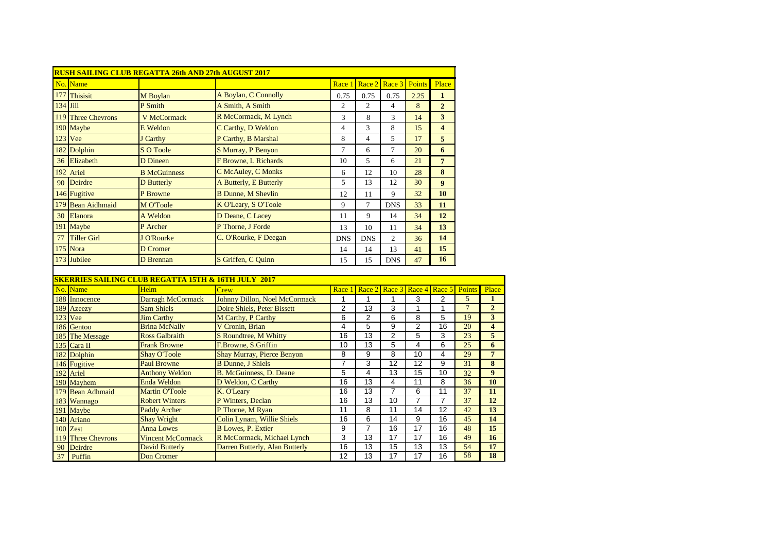|          |                      | <b>RUSH SAILING CLUB REGATTA 26th AND 27th AUGUST 2017</b>     |                                   |                 |                         |                 |                 |                         |                 |                         |
|----------|----------------------|----------------------------------------------------------------|-----------------------------------|-----------------|-------------------------|-----------------|-----------------|-------------------------|-----------------|-------------------------|
|          | No. Name             |                                                                |                                   | Race 1          | Race 2                  | Race 3          | <b>Points</b>   | Place                   |                 |                         |
|          | 177 Thisisit         | M Boylan                                                       | A Boylan, C Connolly              | 0.75            | 0.75                    | 0.75            | 2.25            | $\mathbf{1}$            |                 |                         |
| 134 Jill |                      | P Smith                                                        | A Smith, A Smith                  | $\overline{c}$  | $\overline{c}$          | $\overline{4}$  | 8               | $\overline{2}$          |                 |                         |
|          | 119 Three Chevrons   | <b>V McCormack</b>                                             | R McCormack, M Lynch              | 3               | 8                       | 3               | 14              | $\overline{\mathbf{3}}$ |                 |                         |
|          | 190 Maybe            | <b>E</b> Weldon                                                | C Carthy, D Weldon                | $\overline{4}$  | 3                       | 8               | 15              | $\overline{\mathbf{4}}$ |                 |                         |
|          | 123 Vee              | J Carthy                                                       | P Carthy, B Marshal               | 8               | $\overline{\mathbf{4}}$ | 5               | 17              | 5                       |                 |                         |
|          | 182 Dolphin          | <b>S O Toole</b>                                               | <b>S Murray, P Benyon</b>         | $\tau$          | 6                       | $\overline{7}$  | 20              | 6                       |                 |                         |
| 36       | Elizabeth            | D Dineen                                                       | F Browne, L Richards              | 10              | 5                       | 6               | 21              | $\overline{7}$          |                 |                         |
|          | 192 Ariel            | <b>B</b> McGuinness                                            | C McAuley, C Monks                | 6               | 12                      | 10              | 28              | 8                       |                 |                         |
| 90       | Deirdre              | <b>D</b> Butterly                                              | A Butterly, E Butterly            | 5               | 13                      | 12              | 30              | 9                       |                 |                         |
|          |                      |                                                                |                                   |                 |                         |                 | 32              |                         |                 |                         |
|          | 146 Fugitive         | P Browne                                                       | <b>B Dunne</b> , M Shevlin        | 12              | 11                      | 9               |                 | 10                      |                 |                         |
| 179      | <b>Bean Aidhmaid</b> | M O'Toole                                                      | K O'Leary, S O'Toole              | 9               | $\overline{7}$          | <b>DNS</b>      | 33              | 11                      |                 |                         |
| 30       | Elanora              | A Weldon                                                       | D Deane, C Lacey                  | 11              | 9                       | 14              | 34              | 12                      |                 |                         |
|          | 191 Maybe            | P Archer                                                       | P Thorne, J Forde                 | 13              | 10                      | 11              | 34              | 13                      |                 |                         |
| 77       | <b>Tiller Girl</b>   | <b>J</b> O'Rourke                                              | C. O'Rourke, F Deegan             | <b>DNS</b>      | <b>DNS</b>              | $\overline{2}$  | 36              | 14                      |                 |                         |
|          | 175 Nora             | <b>D</b> Cromer                                                |                                   | 14              | 14                      | 13              | 41              | 15                      |                 |                         |
|          | 173 Jubilee          | D Brennan                                                      | S Griffen, C Quinn                | 15              | 15                      | <b>DNS</b>      | 47              | 16                      |                 |                         |
|          |                      |                                                                |                                   |                 |                         |                 |                 |                         |                 |                         |
|          |                      | <b>SKERRIES SAILING CLUB REGATTA 15TH &amp; 16TH JULY 2017</b> |                                   |                 |                         |                 |                 |                         |                 |                         |
|          | No. Name             | Helm                                                           | Crew                              | Race 1          | Race 2                  | Race 3          | Race            | Race 5                  | Points          | Place                   |
|          | 188 Innocence        | Darragh McCormack                                              | Johnny Dillon, Noel McCormack     | 1               | 1                       | 1               | 3               | $\overline{c}$          | 5               | $\mathbf{1}$            |
|          | 189 Azeezy           | <b>Sam Shiels</b>                                              | Doire Shiels, Peter Bissett       | $\overline{2}$  | $\overline{13}$         | 3               | 1               | $\mathbf{1}$            | $\overline{7}$  | $\overline{2}$          |
|          | <b>123</b> Vee       | <b>Jim Carthy</b>                                              | M Carthy, P Carthy                | $\overline{6}$  | $\overline{2}$          | $\overline{6}$  | $\overline{8}$  | $\overline{5}$          | 19              | 3                       |
|          | 186 Gentoo           | <b>Brina McNally</b>                                           | V Cronin, Brian                   | $\overline{4}$  | $\overline{5}$          | $\overline{9}$  | $\overline{2}$  | 16                      | $\overline{20}$ | $\overline{\mathbf{4}}$ |
| 185      | <b>The Message</b>   | <b>Ross Galbraith</b>                                          | S Roundtree, M Whitty             | $\overline{16}$ | $\overline{13}$         | $\overline{2}$  | 5               | 3                       | $\overline{23}$ | 5                       |
|          | 135 Cara II          | <b>Frank Browne</b>                                            | F.Browne, S.Griffin               | 10              | 13                      | $\overline{5}$  | $\overline{4}$  | 6                       | 25              | $\overline{\mathbf{6}}$ |
|          | 182 Dolphin          | <b>Shay O'Toole</b>                                            | <b>Shay Murray, Pierce Benyon</b> | 8               | $\overline{9}$          | $\overline{8}$  | 10              | $\overline{4}$          | 29              | $\overline{7}$          |
|          | 146 Fugitive         | <b>Paul Browne</b>                                             | <b>B Dunne</b> , J Shiels         | 7               | $\overline{3}$          | $\overline{12}$ | $\overline{12}$ | $\overline{9}$          | 31              | $\overline{\bf 8}$      |
|          | 192 Ariel            | <b>Anthony Weldon</b>                                          | <b>B. McGuinness, D. Deane</b>    | $\overline{5}$  | 4                       | 13              | 15              | 10                      | 32              | $\overline{9}$          |
|          | 190 Mayhem           | Enda Weldon                                                    | D Weldon, C Carthy                | 16              | 13                      | $\overline{4}$  | 11              | 8                       | $\overline{36}$ | 10                      |
|          | 179 Bean Adhmaid     | <b>Martin O'Toole</b>                                          | K. O'Leary                        | 16              | 13                      | 7               | $\overline{6}$  | 11                      | $\overline{37}$ | $\overline{11}$         |
|          | 183 Wannago          | <b>Robert Winters</b>                                          | P Winters, Declan                 | 16              | 13                      | 10              | 7               | $\overline{7}$          | 37              | 12                      |
| 191      | Maybe                | <b>Paddy Archer</b>                                            | P Thorne, M Ryan                  | $\overline{11}$ | $\overline{8}$          | $\overline{11}$ | $\overline{14}$ | $\overline{12}$         | 42              | 13                      |
|          | 140 Ariano           | <b>Shay Wright</b>                                             | Colin Lynam, Willie Shiels        | 16              | $\overline{6}$          | $\overline{14}$ | $\overline{9}$  | $\overline{16}$         | 45              | 14                      |
|          | 100 Zest             | <b>Anna Lowes</b>                                              | <b>B</b> Lowes, P. Extier         | $\overline{9}$  | 7                       | 16              | $\overline{17}$ | 16                      | 48              | 15                      |
|          | 119 Three Chevrons   | <b>Vincent McCormack</b>                                       | R McCormack, Michael Lynch        | 3               | 13                      | 17              | 17              | 16                      | 49              | 16                      |
| 90       | Deirdre              | <b>David Butterly</b>                                          | Darren Butterly, Alan Butterly    | 16              | 13                      | 15              | 13              | 13                      | 54              | 17                      |
|          | 37 Puffin            | <b>Don Cromer</b>                                              |                                   | 12              | 13                      | 17              | 17              | 16                      | 58              | 18                      |